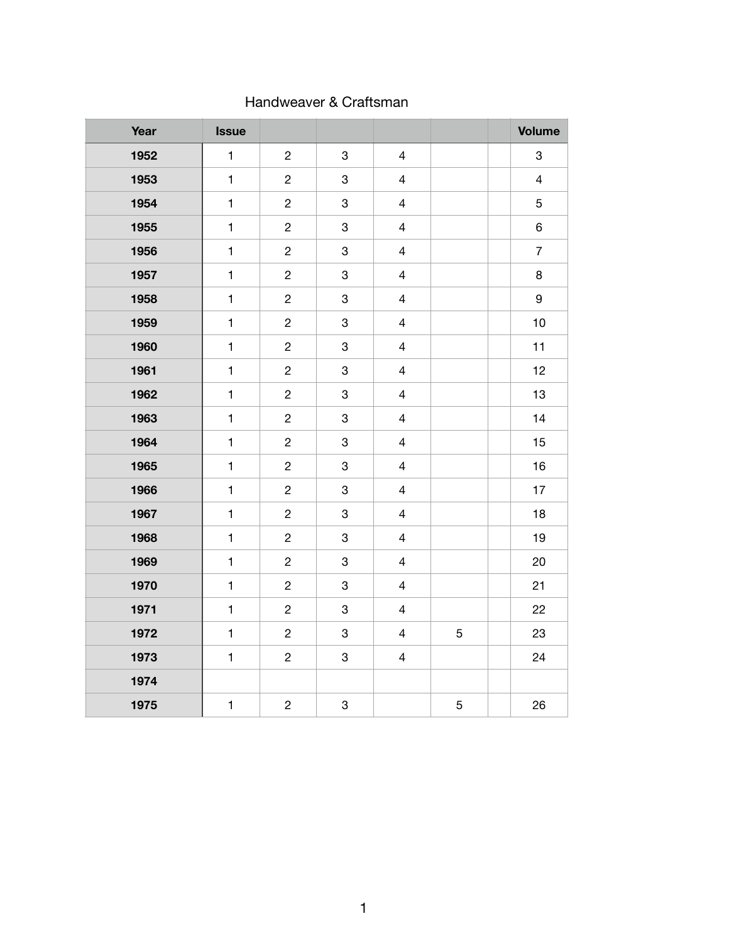| Year | <b>Issue</b> |                |                           |                |             | <b>Volume</b>             |
|------|--------------|----------------|---------------------------|----------------|-------------|---------------------------|
| 1952 | $\mathbf{1}$ | $\overline{c}$ | 3                         | $\overline{4}$ |             | $\ensuremath{\mathsf{3}}$ |
| 1953 | $\mathbf{1}$ | $\overline{c}$ | 3                         | $\overline{4}$ |             | $\overline{4}$            |
| 1954 | $\mathbf{1}$ | $\overline{c}$ | 3                         | $\overline{4}$ |             | $\sqrt{5}$                |
| 1955 | $\mathbf{1}$ | $\overline{c}$ | $\ensuremath{\mathsf{3}}$ | $\overline{4}$ |             | $\,6\,$                   |
| 1956 | $\mathbf{1}$ | $\overline{c}$ | $\ensuremath{\mathsf{3}}$ | $\overline{4}$ |             | $\overline{7}$            |
| 1957 | $\mathbf{1}$ | $\overline{c}$ | $\ensuremath{\mathsf{3}}$ | $\overline{4}$ |             | $\bf 8$                   |
| 1958 | $\mathbf{1}$ | $\overline{c}$ | $\ensuremath{\mathsf{3}}$ | $\overline{4}$ |             | $\boldsymbol{9}$          |
| 1959 | $\mathbf{1}$ | $\overline{c}$ | $\ensuremath{\mathsf{3}}$ | $\overline{4}$ |             | 10                        |
| 1960 | $\mathbf{1}$ | $\overline{c}$ | $\ensuremath{\mathsf{3}}$ | $\overline{4}$ |             | 11                        |
| 1961 | $\mathbf{1}$ | $\overline{c}$ | $\ensuremath{\mathsf{3}}$ | $\overline{4}$ |             | 12                        |
| 1962 | $\mathbf{1}$ | $\overline{c}$ | 3                         | $\overline{4}$ |             | 13                        |
| 1963 | $\mathbf{1}$ | $\overline{c}$ | 3                         | $\overline{4}$ |             | 14                        |
| 1964 | $\mathbf{1}$ | $\overline{c}$ | $\mathbf 3$               | $\overline{4}$ |             | 15                        |
| 1965 | $\mathbf{1}$ | $\overline{c}$ | $\mathbf 3$               | $\overline{4}$ |             | 16                        |
| 1966 | $\mathbf{1}$ | $\overline{c}$ | 3                         | $\overline{4}$ |             | 17                        |
| 1967 | $\mathbf{1}$ | $\overline{c}$ | 3                         | $\overline{4}$ |             | 18                        |
| 1968 | $\mathbf{1}$ | $\overline{c}$ | 3                         | $\overline{4}$ |             | 19                        |
| 1969 | $\mathbf{1}$ | $\overline{c}$ | $\ensuremath{\mathsf{3}}$ | $\overline{4}$ |             | 20                        |
| 1970 | $\mathbf{1}$ | $\overline{c}$ | $\ensuremath{\mathsf{3}}$ | $\overline{4}$ |             | 21                        |
| 1971 | $\mathbf{1}$ | $\overline{c}$ | $\ensuremath{\mathsf{3}}$ | $\overline{4}$ |             | 22                        |
| 1972 | $\mathbf{1}$ | $\overline{c}$ | $\mathbf 3$               | $\overline{4}$ | 5           | 23                        |
| 1973 | $\mathbf{1}$ | $\overline{c}$ | $\ensuremath{\mathsf{3}}$ | $\overline{4}$ |             | 24                        |
| 1974 |              |                |                           |                |             |                           |
| 1975 | $\mathbf{1}$ | $\overline{c}$ | $\ensuremath{\mathsf{3}}$ |                | $\,$ 5 $\,$ | 26                        |

#### Handweaver & Craftsman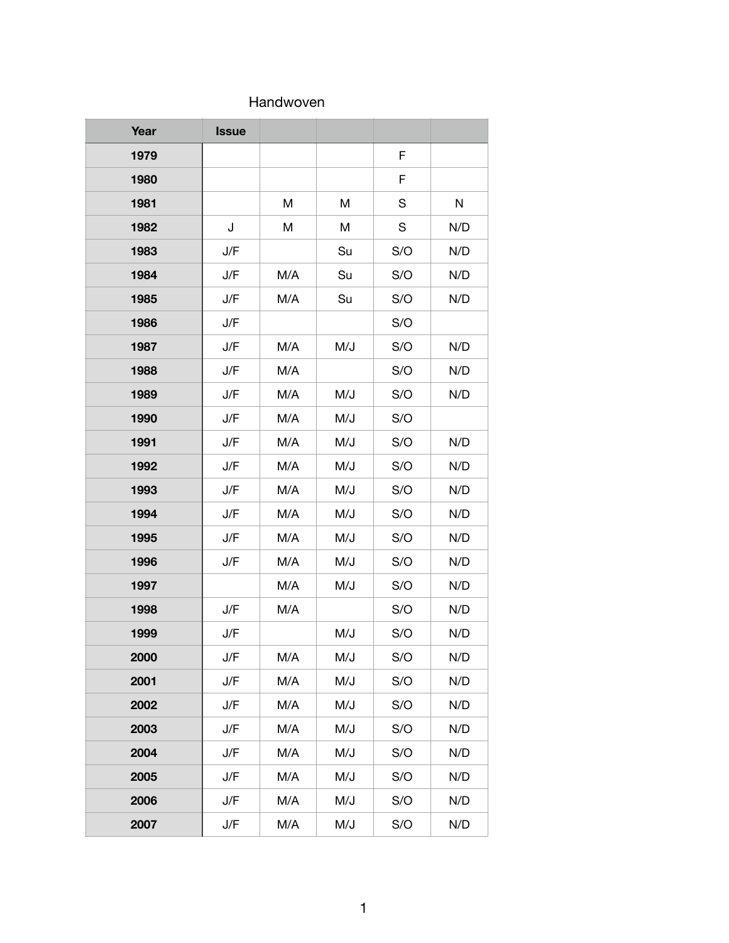#### Handwoven

| Year | <b>Issue</b> |     |     |             |     |
|------|--------------|-----|-----|-------------|-----|
| 1979 |              |     |     | $\mathsf F$ |     |
| 1980 |              |     |     | F           |     |
| 1981 |              | M   | M   | S           | N   |
| 1982 | J            | Μ   | M   | S           | N/D |
| 1983 | J/F          |     | Su  | S/O         | N/D |
| 1984 | J/F          | M/A | Su  | S/O         | N/D |
| 1985 | J/F          | M/A | Su  | S/O         | N/D |
| 1986 | J/F          |     |     | S/O         |     |
| 1987 | J/F          | M/A | M/J | S/O         | N/D |
| 1988 | J/F          | M/A |     | S/O         | N/D |
| 1989 | J/F          | M/A | M/J | S/O         | N/D |
| 1990 | J/F          | M/A | M/J | S/O         |     |
| 1991 | J/F          | M/A | M/J | S/O         | N/D |
| 1992 | J/F          | M/A | M/J | S/O         | N/D |
| 1993 | J/F          | M/A | M/J | S/O         | N/D |
| 1994 | J/F          | M/A | M/J | S/O         | N/D |
| 1995 | J/F          | M/A | M/J | S/O         | N/D |
| 1996 | J/F          | M/A | M/J | S/O         | N/D |
| 1997 |              | M/A | M/J | S/O         | N/D |
| 1998 | J/F          | M/A |     | S/O         | N/D |
| 1999 | J/F          |     | M/J | S/O         | N/D |
| 2000 | J/F          | M/A | M/J | S/O         | N/D |
| 2001 | J/F          | M/A | M/J | S/O         | N/D |
| 2002 | J/F          | M/A | M/J | S/O         | N/D |
| 2003 | J/F          | M/A | M/J | S/O         | N/D |
| 2004 | J/F          | M/A | M/J | S/O         | N/D |
| 2005 | J/F          | M/A | M/J | S/O         | N/D |
| 2006 | J/F          | M/A | M/J | S/O         | N/D |
| 2007 | J/F          | M/A | M/J | S/O         | N/D |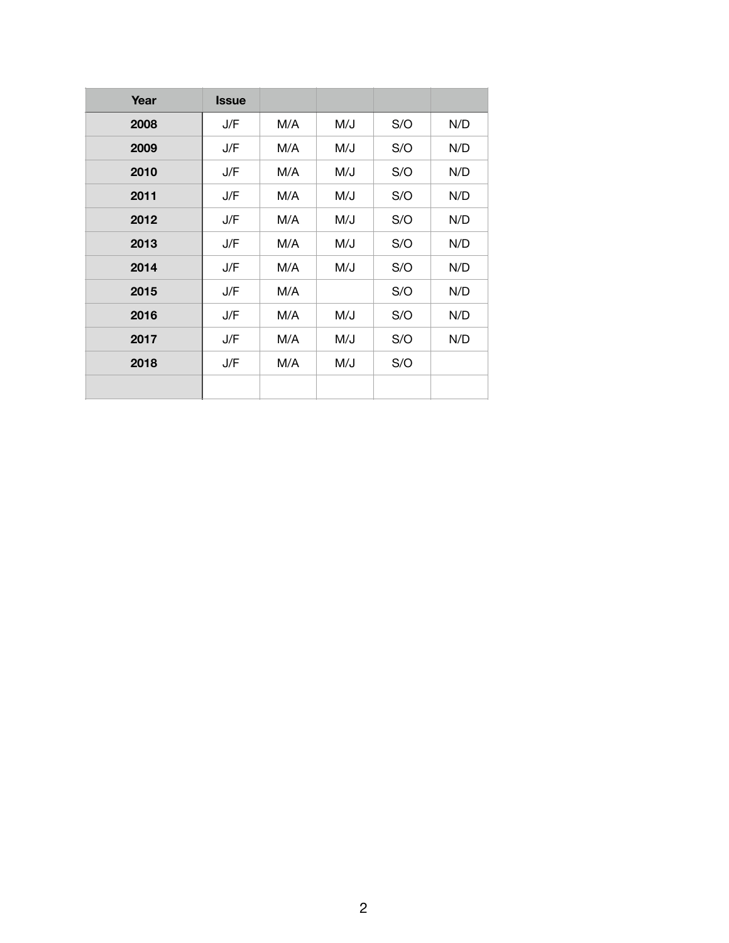| Year | <b>Issue</b> |     |     |     |     |
|------|--------------|-----|-----|-----|-----|
| 2008 | J/F          | M/A | M/J | S/O | N/D |
| 2009 | J/F          | M/A | M/J | S/O | N/D |
| 2010 | J/F          | M/A | M/J | S/O | N/D |
| 2011 | J/F          | M/A | M/J | S/O | N/D |
| 2012 | J/F          | M/A | M/J | S/O | N/D |
| 2013 | J/F          | M/A | M/J | S/O | N/D |
| 2014 | J/F          | M/A | M/J | S/O | N/D |
| 2015 | J/F          | M/A |     | S/O | N/D |
| 2016 | J/F          | M/A | M/J | S/O | N/D |
| 2017 | J/F          | M/A | M/J | S/O | N/D |
| 2018 | J/F          | M/A | M/J | S/O |     |
|      |              |     |     |     |     |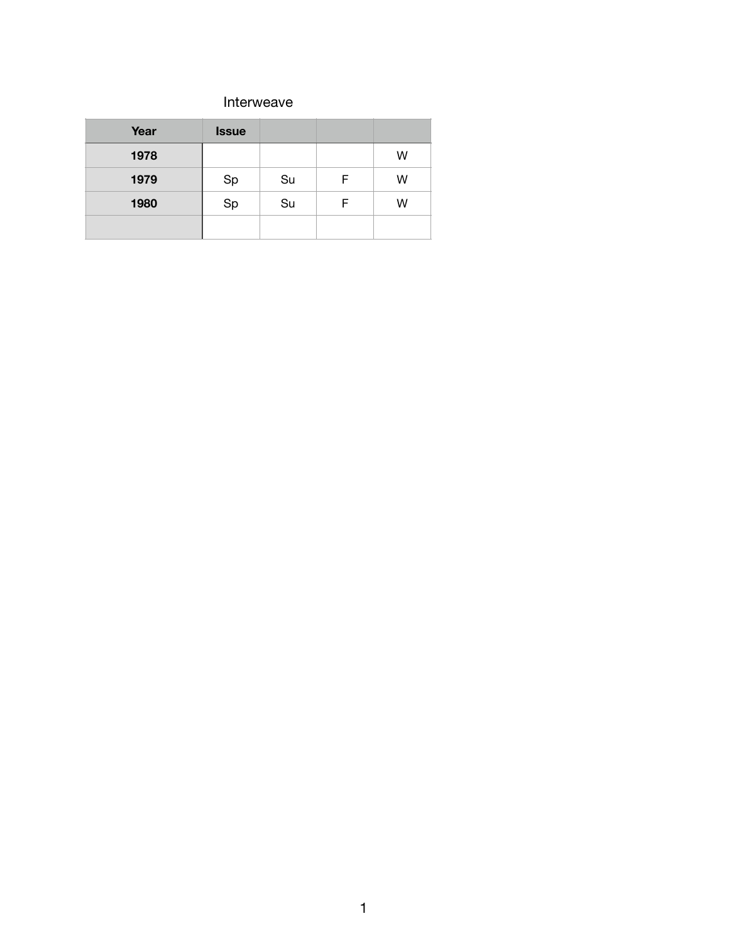#### Interweave

| Year | <b>Issue</b> |    |   |   |
|------|--------------|----|---|---|
| 1978 |              |    |   | W |
| 1979 | Sp           | Su | F | W |
| 1980 | Sp           | Su | F | W |
|      |              |    |   |   |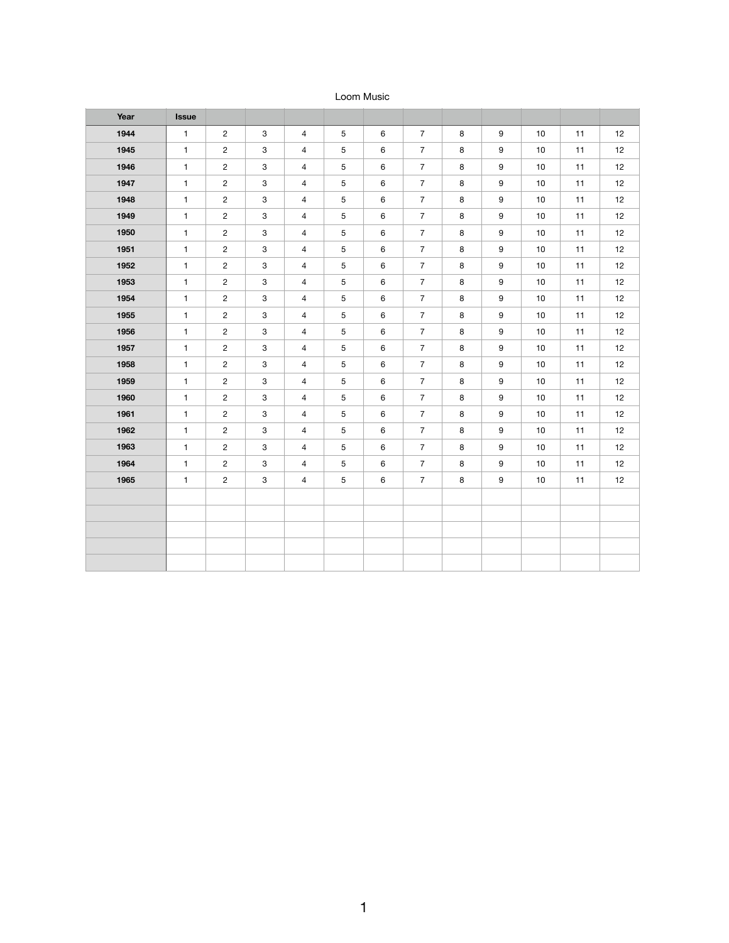#### Loom Music

| Year | <b>Issue</b> |                         |                           |                          |                |         |                  |         |                  |                 |    |    |
|------|--------------|-------------------------|---------------------------|--------------------------|----------------|---------|------------------|---------|------------------|-----------------|----|----|
| 1944 | $\mathbf{1}$ | $\overline{2}$          | $\mathbf{3}$              | $\overline{4}$           | $\overline{5}$ | 6       | $\overline{7}$   | 8       | $\boldsymbol{9}$ | 10              | 11 | 12 |
| 1945 | $\mathbf{1}$ | $\mathbf{2}$            | 3                         | $\overline{4}$           | 5              | 6       | $\overline{7}$   | $\bf8$  | 9                | 10              | 11 | 12 |
| 1946 | $\mathbf{1}$ | $\mathbf{2}$            | $\ensuremath{\mathsf{3}}$ | $\overline{4}$           | $\sqrt{5}$     | 6       | $\overline{7}$   | $\bf 8$ | $\boldsymbol{9}$ | 10              | 11 | 12 |
| 1947 | $\mathbf{1}$ | $\mathbf{2}$            | $\ensuremath{\mathsf{3}}$ | $\overline{4}$           | $\sqrt{5}$     | 6       | $\overline{7}$   | $\bf8$  | $\boldsymbol{9}$ | $10$            | 11 | 12 |
| 1948 | $\mathbf{1}$ | $\mathbf{2}$            | 3                         | $\overline{4}$           | 5              | 6       | $\overline{7}$   | $\bf8$  | $\boldsymbol{9}$ | 10              | 11 | 12 |
| 1949 | $\mathbf{1}$ | $\overline{c}$          | $\ensuremath{\mathsf{3}}$ | $\overline{4}$           | $\sqrt{5}$     | 6       | $\overline{7}$   | $\bf 8$ | $\boldsymbol{9}$ | 10              | 11 | 12 |
| 1950 | $\mathbf{1}$ | $\mathbf{2}$            | $\ensuremath{\mathsf{3}}$ | $\overline{4}$           | $\sqrt{5}$     | 6       | $\overline{7}$   | $\bf8$  | $\boldsymbol{9}$ | $10$            | 11 | 12 |
| 1951 | $\mathbf{1}$ | $\overline{\mathbf{c}}$ | $\ensuremath{\mathsf{3}}$ | $\overline{4}$           | $\sqrt{5}$     | 6       | $\overline{7}$   | $\bf8$  | $9\,$            | 10              | 11 | 12 |
| 1952 | $\mathbf{1}$ | $\overline{c}$          | $\ensuremath{\mathsf{3}}$ | $\overline{4}$           | $\sqrt{5}$     | 6       | $\overline{7}$   | $\bf 8$ | $\boldsymbol{9}$ | 10              | 11 | 12 |
| 1953 | $\mathbf{1}$ | $\mathbf{2}$            | $\ensuremath{\mathsf{3}}$ | $\overline{4}$           | $\sqrt{5}$     | 6       | $\overline{7}$   | $\bf 8$ | 9                | 10              | 11 | 12 |
| 1954 | $\mathbf{1}$ | $\overline{c}$          | $\ensuremath{\mathsf{3}}$ | $\overline{4}$           | $\sqrt{5}$     | 6       | $\overline{7}$   | $\bf8$  | $9\,$            | 10              | 11 | 12 |
| 1955 | $\mathbf{1}$ | $\mathbf{c}$            | $\ensuremath{\mathsf{3}}$ | $\overline{\mathcal{A}}$ | $\sqrt{5}$     | 6       | $\boldsymbol{7}$ | $\bf8$  | $\boldsymbol{9}$ | 10              | 11 | 12 |
| 1956 | $\mathbf{1}$ | $\mathbf{2}$            | $\ensuremath{\mathsf{3}}$ | $\overline{4}$           | $\sqrt{5}$     | 6       | $\overline{7}$   | $\bf 8$ | 9                | 10              | 11 | 12 |
| 1957 | $\mathbf{1}$ | $\mathbf{2}$            | 3                         | 4                        | $\sqrt{5}$     | 6       | $\overline{7}$   | $\bf8$  | $\boldsymbol{9}$ | 10              | 11 | 12 |
| 1958 | $\mathbf{1}$ | $\overline{c}$          | $\ensuremath{\mathsf{3}}$ | $\overline{4}$           | 5              | 6       | $\boldsymbol{7}$ | $\bf8$  | $\boldsymbol{9}$ | 10              | 11 | 12 |
| 1959 | $\mathbf{1}$ | $\mathbf{2}$            | $\ensuremath{\mathsf{3}}$ | $\overline{\mathcal{A}}$ | $\sqrt{5}$     | 6       | $\overline{7}$   | $\bf8$  | 9                | $10$            | 11 | 12 |
| 1960 | $\mathbf{1}$ | $\mathbf{2}$            | $\ensuremath{\mathsf{3}}$ | $\overline{4}$           | $\mathbf 5$    | 6       | $\boldsymbol{7}$ | $\bf8$  | $9\,$            | 10              | 11 | 12 |
| 1961 | $\mathbf{1}$ | $\overline{c}$          | $\ensuremath{\mathsf{3}}$ | $\overline{4}$           | 5              | 6       | $\boldsymbol{7}$ | $\bf8$  | $\boldsymbol{9}$ | 10              | 11 | 12 |
| 1962 | $\mathbf{1}$ | $\overline{c}$          | $\ensuremath{\mathsf{3}}$ | $\overline{4}$           | 5              | 6       | $\overline{7}$   | $\bf8$  | $\boldsymbol{9}$ | 10              | 11 | 12 |
| 1963 | $\mathbf{1}$ | $\mathbf{2}$            | $\ensuremath{\mathsf{3}}$ | $\overline{4}$           | $\sqrt{5}$     | 6       | $\overline{7}$   | $\bf8$  | $9\,$            | 10              | 11 | 12 |
| 1964 | $\mathbf{1}$ | $\overline{c}$          | 3                         | $\overline{4}$           | $\overline{5}$ | 6       | $\overline{7}$   | $\bf 8$ | $\boldsymbol{9}$ | 10              | 11 | 12 |
| 1965 | $\mathbf{1}$ | $\overline{2}$          | $\mathbf{3}$              | $\overline{4}$           | 5 <sup>5</sup> | $\,6\,$ | $\overline{7}$   | 8       | 9                | 10 <sub>1</sub> | 11 | 12 |
|      |              |                         |                           |                          |                |         |                  |         |                  |                 |    |    |
|      |              |                         |                           |                          |                |         |                  |         |                  |                 |    |    |
|      |              |                         |                           |                          |                |         |                  |         |                  |                 |    |    |
|      |              |                         |                           |                          |                |         |                  |         |                  |                 |    |    |
|      |              |                         |                           |                          |                |         |                  |         |                  |                 |    |    |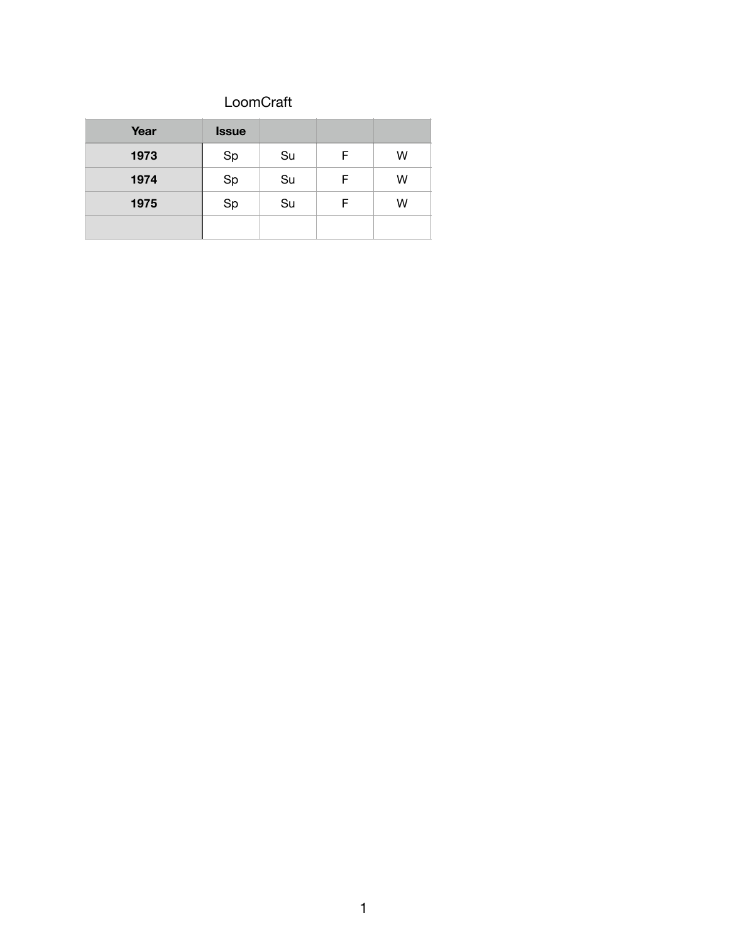### LoomCraft

| Year | <b>Issue</b> |    |   |   |
|------|--------------|----|---|---|
| 1973 | Sp           | Su | F | W |
| 1974 | Sp           | Su | F | W |
| 1975 | Sp           | Su | F | W |
|      |              |    |   |   |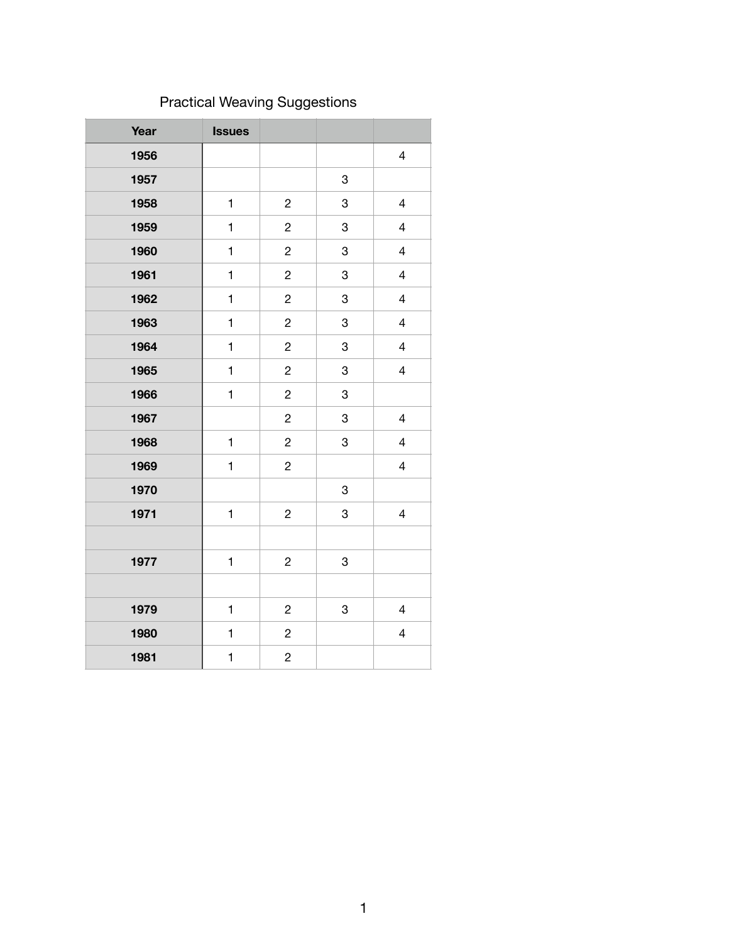# Practical Weaving Suggestions

| Year | <b>Issues</b> |                         |   |                          |
|------|---------------|-------------------------|---|--------------------------|
| 1956 |               |                         |   | $\overline{\mathbf{4}}$  |
| 1957 |               |                         | 3 |                          |
| 1958 | $\mathbf{1}$  | $\overline{\mathbf{c}}$ | 3 | $\overline{\mathcal{A}}$ |
| 1959 | $\mathbf{1}$  | $\overline{c}$          | 3 | $\overline{\mathbf{4}}$  |
| 1960 | $\mathbf{1}$  | $\overline{\mathbf{c}}$ | 3 | $\overline{\mathbf{4}}$  |
| 1961 | $\mathbf{1}$  | $\overline{c}$          | 3 | $\overline{\mathbf{4}}$  |
| 1962 | $\mathbf{1}$  | $\overline{c}$          | 3 | $\overline{\mathbf{4}}$  |
| 1963 | $\mathbf{1}$  | $\overline{c}$          | 3 | $\overline{\mathbf{4}}$  |
| 1964 | $\mathbf{1}$  | $\overline{c}$          | 3 | $\overline{\mathbf{4}}$  |
| 1965 | $\mathbf{1}$  | $\overline{c}$          | 3 | $\overline{\mathbf{4}}$  |
| 1966 | $\mathbf{1}$  | $\overline{\mathbf{c}}$ | 3 |                          |
| 1967 |               | $\overline{\mathbf{c}}$ | 3 | $\overline{\mathcal{L}}$ |
| 1968 | $\mathbf{1}$  | $\overline{c}$          | 3 | $\overline{\mathbf{4}}$  |
| 1969 | $\mathbf{1}$  | $\overline{\mathbf{c}}$ |   | $\overline{\mathbf{4}}$  |
| 1970 |               |                         | 3 |                          |
| 1971 | $\mathbf{1}$  | $\overline{\mathbf{c}}$ | 3 | $\overline{\mathbf{4}}$  |
|      |               |                         |   |                          |
| 1977 | $\mathbf{1}$  | $\overline{\mathbf{c}}$ | 3 |                          |
|      |               |                         |   |                          |
| 1979 | $\mathbf{1}$  | $\overline{\mathbf{c}}$ | 3 | $\overline{\mathcal{A}}$ |
| 1980 | $\mathbf{1}$  | $\overline{c}$          |   | $\overline{\mathbf{4}}$  |
| 1981 | $\mathbf{1}$  | $\overline{c}$          |   |                          |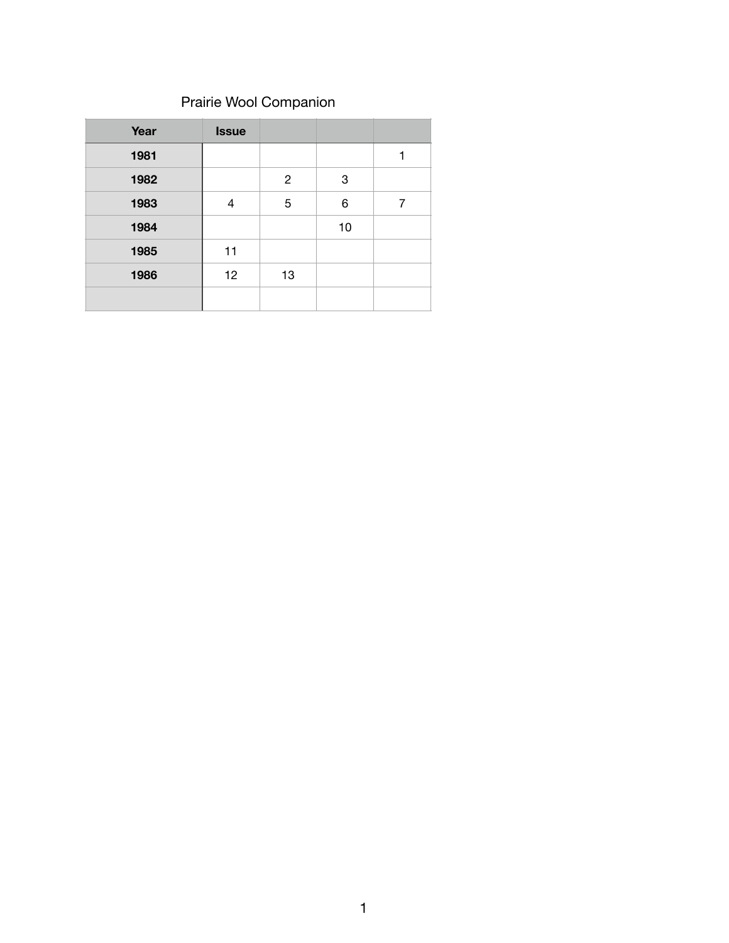## Prairie Wool Companion

| Year | <b>Issue</b> |              |    |   |
|------|--------------|--------------|----|---|
| 1981 |              |              |    |   |
| 1982 |              | $\mathbf{2}$ | 3  |   |
| 1983 | 4            | 5            | 6  | 7 |
| 1984 |              |              | 10 |   |
| 1985 | 11           |              |    |   |
| 1986 | 12           | 13           |    |   |
|      |              |              |    |   |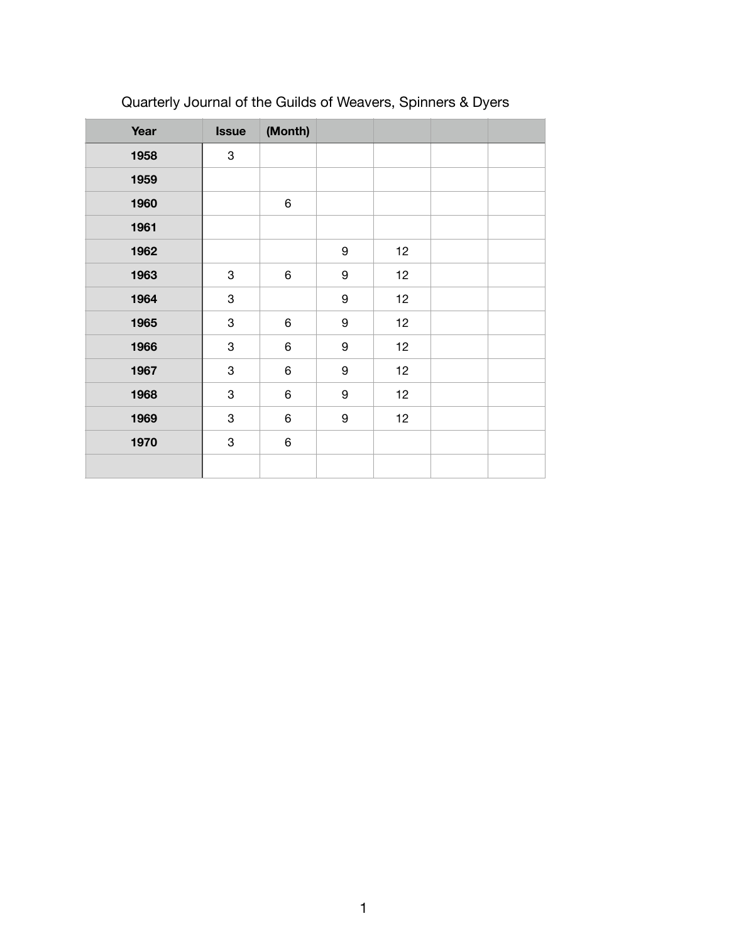| Year | <b>Issue</b> | (Month) |                  |    |  |
|------|--------------|---------|------------------|----|--|
| 1958 | 3            |         |                  |    |  |
| 1959 |              |         |                  |    |  |
| 1960 |              | 6       |                  |    |  |
| 1961 |              |         |                  |    |  |
| 1962 |              |         | $\boldsymbol{9}$ | 12 |  |
| 1963 | 3            | 6       | $\boldsymbol{9}$ | 12 |  |
| 1964 | 3            |         | $\boldsymbol{9}$ | 12 |  |
| 1965 | 3            | 6       | $\boldsymbol{9}$ | 12 |  |
| 1966 | 3            | 6       | 9                | 12 |  |
| 1967 | 3            | $\,6\,$ | $\boldsymbol{9}$ | 12 |  |
| 1968 | 3            | 6       | 9                | 12 |  |
| 1969 | 3            | 6       | $\boldsymbol{9}$ | 12 |  |
| 1970 | 3            | 6       |                  |    |  |
|      |              |         |                  |    |  |

# Quarterly Journal of the Guilds of Weavers, Spinners & Dyers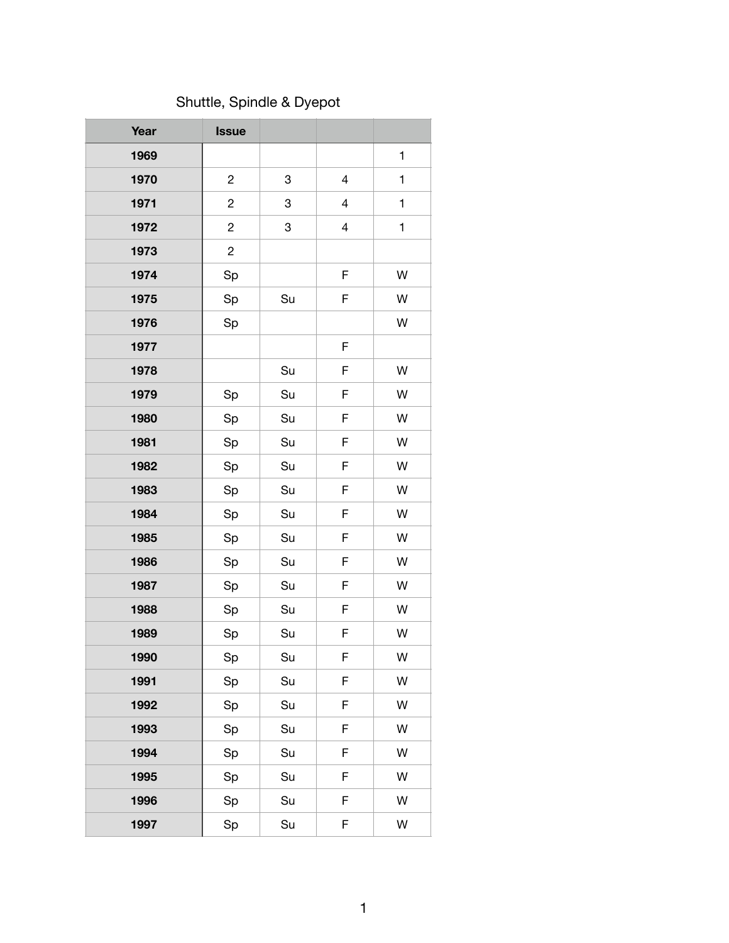## Shuttle, Spindle & Dyepot

| Year | <b>Issue</b>            |    |   |              |
|------|-------------------------|----|---|--------------|
| 1969 |                         |    |   | $\mathbf 1$  |
| 1970 | $\overline{c}$          | 3  | 4 | 1            |
| 1971 | $\mathbf{2}$            | 3  | 4 | $\mathbf{1}$ |
| 1972 | $\overline{\mathbf{c}}$ | 3  | 4 | 1            |
| 1973 | $\overline{c}$          |    |   |              |
| 1974 | Sp                      |    | F | W            |
| 1975 | Sp                      | Su | F | W            |
| 1976 | Sp                      |    |   | W            |
| 1977 |                         |    | F |              |
| 1978 |                         | Su | F | W            |
| 1979 | Sp                      | Su | F | W            |
| 1980 | Sp                      | Su | F | W            |
| 1981 | Sp                      | Su | F | W            |
| 1982 | Sp                      | Su | F | W            |
| 1983 | Sp                      | Su | F | W            |
| 1984 | Sp                      | Su | F | W            |
| 1985 | Sp                      | Su | F | W            |
| 1986 | Sp                      | Su | F | W            |
| 1987 | Sp                      | Su | F | W            |
| 1988 | Sp                      | Su | F | W            |
| 1989 | Sp                      | Su | F | W            |
| 1990 | Sp                      | Su | F | W            |
| 1991 | Sp                      | Su | F | W            |
| 1992 | Sp                      | Su | F | W            |
| 1993 | Sp                      | Su | F | W            |
| 1994 | Sp                      | Su | F | W            |
| 1995 | Sp                      | Su | F | W            |
| 1996 | Sp                      | Su | F | W            |
| 1997 | Sp                      | Su | F | W            |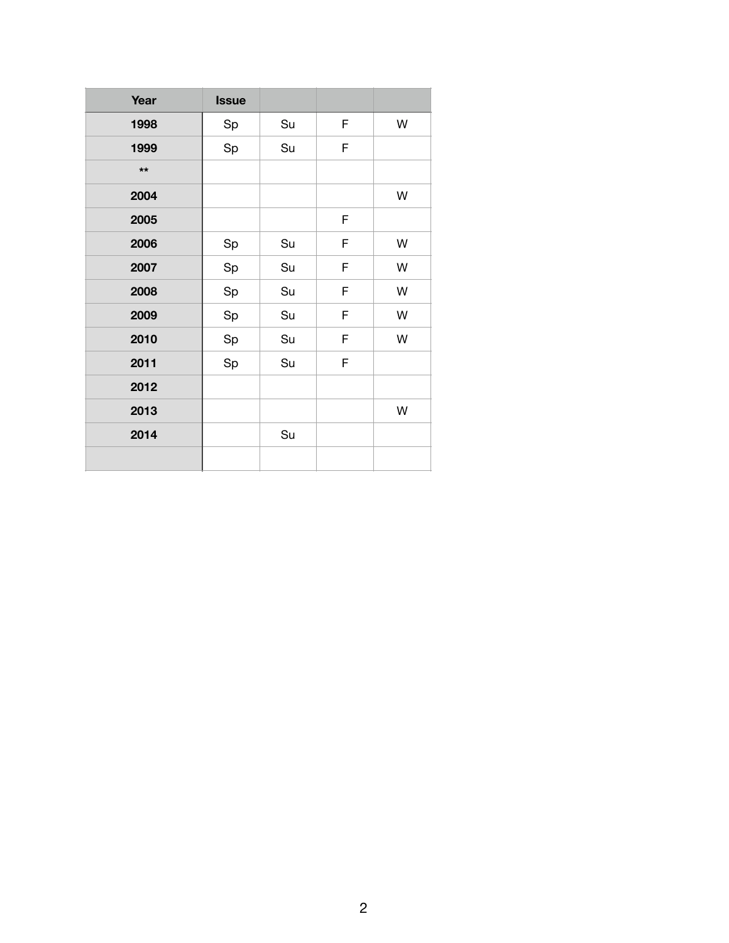| Year  | <b>Issue</b> |    |   |   |
|-------|--------------|----|---|---|
| 1998  | Sp           | Su | F | W |
| 1999  | Sp           | Su | F |   |
| $***$ |              |    |   |   |
| 2004  |              |    |   | W |
| 2005  |              |    | F |   |
| 2006  | Sp           | Su | F | W |
| 2007  | Sp           | Su | F | W |
| 2008  | Sp           | Su | F | W |
| 2009  | Sp           | Su | F | W |
| 2010  | Sp           | Su | F | W |
| 2011  | Sp           | Su | F |   |
| 2012  |              |    |   |   |
| 2013  |              |    |   | W |
| 2014  |              | Su |   |   |
|       |              |    |   |   |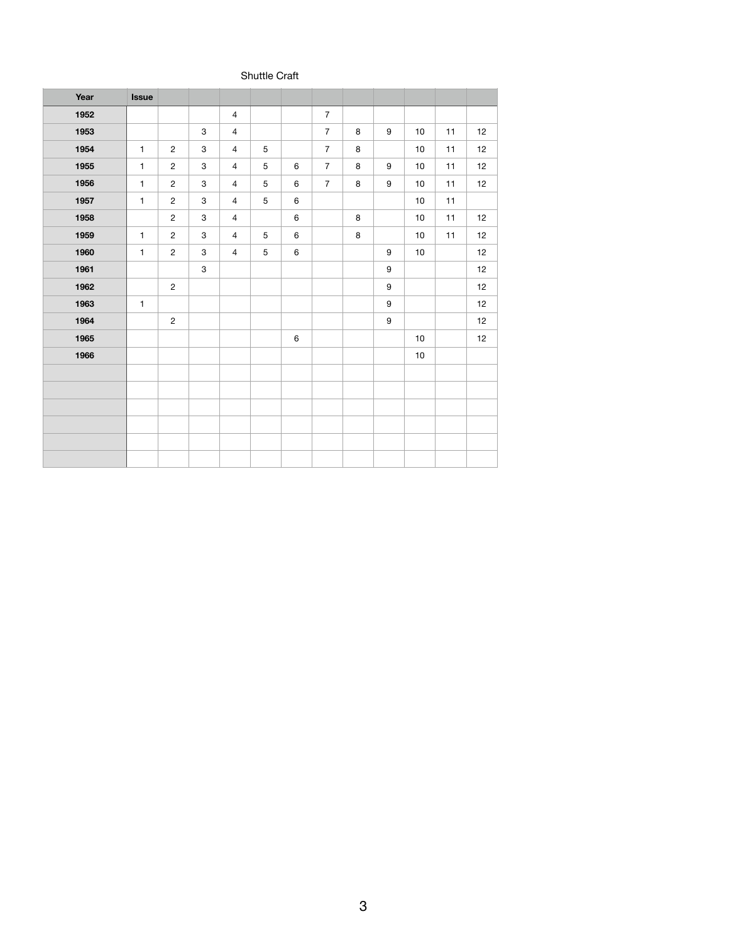#### Shuttle Craft

| Year | <b>Issue</b> |                |                           |                |             |         |                |         |                  |      |    |    |
|------|--------------|----------------|---------------------------|----------------|-------------|---------|----------------|---------|------------------|------|----|----|
| 1952 |              |                |                           | $\overline{4}$ |             |         | $\overline{7}$ |         |                  |      |    |    |
| 1953 |              |                | 3                         | $\overline{4}$ |             |         | $\overline{7}$ | 8       | 9                | 10   | 11 | 12 |
| 1954 | $\mathbf{1}$ | $\mathbf{2}$   | $\ensuremath{\mathsf{3}}$ | $\overline{4}$ | $\sqrt{5}$  |         | $\overline{7}$ | $\bf8$  |                  | 10   | 11 | 12 |
| 1955 | $\mathbf{1}$ | $\mathbf{2}$   | $\ensuremath{\mathsf{3}}$ | $\overline{4}$ | $\mathbf 5$ | $\,6\,$ | $\overline{7}$ | $\bf8$  | $\boldsymbol{9}$ | $10$ | 11 | 12 |
| 1956 | $\mathbf{1}$ | $\overline{c}$ | $\ensuremath{\mathsf{3}}$ | $\overline{4}$ | $\mathbf 5$ | $\,6\,$ | $\overline{7}$ | $\bf 8$ | $\boldsymbol{9}$ | $10$ | 11 | 12 |
| 1957 | $\mathbf{1}$ | $\overline{c}$ | $\,3$                     | $\overline{4}$ | $\sqrt{5}$  | $\,6\,$ |                |         |                  | $10$ | 11 |    |
| 1958 |              | $\overline{c}$ | $\mathfrak{S}$            | $\overline{4}$ |             | $\,6\,$ |                | $\bf8$  |                  | 10   | 11 | 12 |
| 1959 | $\mathbf{1}$ | $\mathbf{2}$   | $\mathbf 3$               | $\overline{4}$ | $\sqrt{5}$  | $\,6\,$ |                | $\bf 8$ |                  | $10$ | 11 | 12 |
| 1960 | $\mathbf{1}$ | $\sqrt{2}$     | $\ensuremath{\mathsf{3}}$ | $\overline{4}$ | $\sqrt{5}$  | $\,6\,$ |                |         | $\boldsymbol{9}$ | $10$ |    | 12 |
| 1961 |              |                | $\mathbf{3}$              |                |             |         |                |         | $\boldsymbol{9}$ |      |    | 12 |
| 1962 |              | $\overline{c}$ |                           |                |             |         |                |         | $\boldsymbol{9}$ |      |    | 12 |
| 1963 | $\mathbf{1}$ |                |                           |                |             |         |                |         | 9                |      |    | 12 |
| 1964 |              | $\sqrt{2}$     |                           |                |             |         |                |         | 9                |      |    | 12 |
| 1965 |              |                |                           |                |             | $\,6\,$ |                |         |                  | $10$ |    | 12 |
| 1966 |              |                |                           |                |             |         |                |         |                  | $10$ |    |    |
|      |              |                |                           |                |             |         |                |         |                  |      |    |    |
|      |              |                |                           |                |             |         |                |         |                  |      |    |    |
|      |              |                |                           |                |             |         |                |         |                  |      |    |    |
|      |              |                |                           |                |             |         |                |         |                  |      |    |    |
|      |              |                |                           |                |             |         |                |         |                  |      |    |    |
|      |              |                |                           |                |             |         |                |         |                  |      |    |    |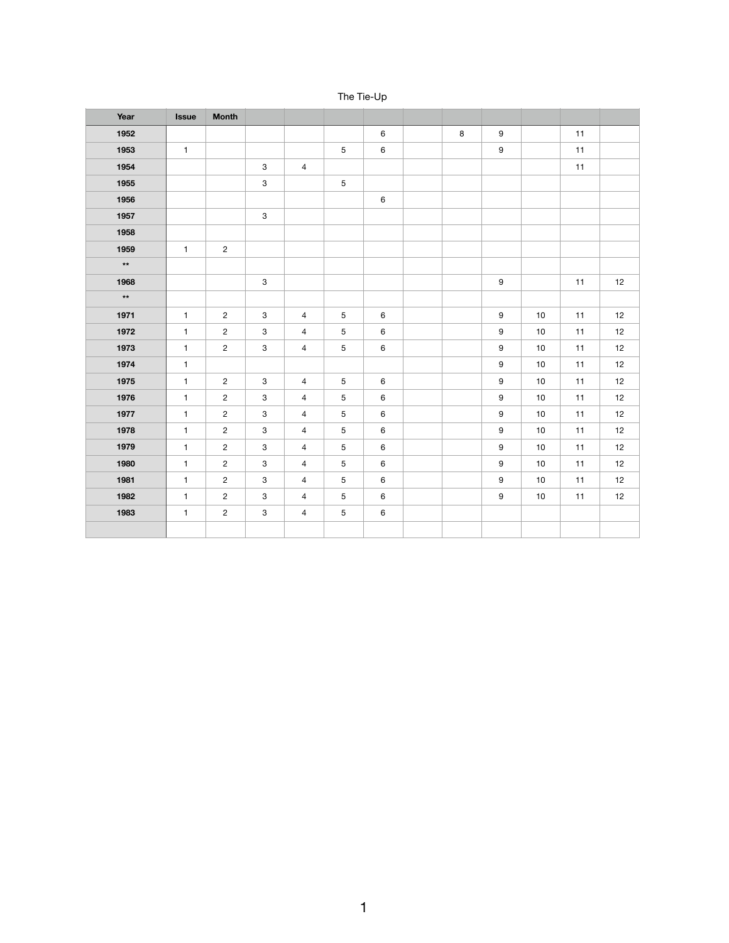| Year         | <b>Issue</b> | <b>Month</b>   |                           |                         |             |         |         |                  |      |    |      |
|--------------|--------------|----------------|---------------------------|-------------------------|-------------|---------|---------|------------------|------|----|------|
| 1952         |              |                |                           |                         |             | $\,6\,$ | $\bf 8$ | $\boldsymbol{9}$ |      | 11 |      |
| 1953         | $\mathbf{1}$ |                |                           |                         | $\sqrt{5}$  | $\,6\,$ |         | $\boldsymbol{9}$ |      | 11 |      |
| 1954         |              |                | $\ensuremath{\mathsf{3}}$ | $\overline{\mathbf{4}}$ |             |         |         |                  |      | 11 |      |
| 1955         |              |                | $\ensuremath{\mathsf{3}}$ |                         | $\sqrt{5}$  |         |         |                  |      |    |      |
| 1956         |              |                |                           |                         |             | $\,6\,$ |         |                  |      |    |      |
| 1957         |              |                | $\mathbf{3}$              |                         |             |         |         |                  |      |    |      |
| 1958         |              |                |                           |                         |             |         |         |                  |      |    |      |
| 1959         | $\mathbf{1}$ | $\overline{2}$ |                           |                         |             |         |         |                  |      |    |      |
| $\star\star$ |              |                |                           |                         |             |         |         |                  |      |    |      |
| 1968         |              |                | $\ensuremath{\mathsf{3}}$ |                         |             |         |         | $\boldsymbol{9}$ |      | 11 | $12$ |
| $\star\star$ |              |                |                           |                         |             |         |         |                  |      |    |      |
| 1971         | $\mathbf{1}$ | $\overline{2}$ | $\ensuremath{\mathsf{3}}$ | $\overline{4}$          | $\mathbf 5$ | $\,6\,$ |         | $\boldsymbol{9}$ | 10   | 11 | 12   |
| 1972         | $\mathbf{1}$ | $\overline{c}$ | $\ensuremath{\mathsf{3}}$ | $\overline{4}$          | 5           | $\,6\,$ |         | 9                | $10$ | 11 | $12$ |
| 1973         | $\mathbf{1}$ | $\overline{c}$ | $\ensuremath{\mathsf{3}}$ | $\overline{4}$          | 5           | $\,6\,$ |         | 9                | $10$ | 11 | $12$ |
| 1974         | $\mathbf{1}$ |                |                           |                         |             |         |         | 9                | 10   | 11 | 12   |
| 1975         | $\mathbf{1}$ | $\overline{2}$ | $\ensuremath{\mathsf{3}}$ | $\overline{\mathbf{4}}$ | 5           | $\,6\,$ |         | 9                | $10$ | 11 | 12   |
| 1976         | $\mathbf{1}$ | $\overline{c}$ | $\ensuremath{\mathsf{3}}$ | $\overline{4}$          | $\mathbf 5$ | $\,6\,$ |         | 9                | $10$ | 11 | $12$ |
| 1977         | $\mathbf{1}$ | $\overline{c}$ | $\mathbf{3}$              | $\overline{4}$          | $\mathbf 5$ | $\,6\,$ |         | 9                | 10   | 11 | 12   |
| 1978         | $\mathbf{1}$ | $\overline{c}$ | $\mathbf{3}$              | $\overline{4}$          | $\mathbf 5$ | $\,6\,$ |         | 9                | 10   | 11 | 12   |
| 1979         | $\mathbf{1}$ | $\overline{c}$ | $\ensuremath{\mathsf{3}}$ | $\overline{4}$          | $\mathbf 5$ | $\,6\,$ |         | 9                | $10$ | 11 | $12$ |
| 1980         | $\mathbf{1}$ | $\overline{c}$ | $\mathbf{3}$              | $\overline{4}$          | $\mathbf 5$ | $\,6\,$ |         | 9                | $10$ | 11 | 12   |
| 1981         | $\mathbf{1}$ | $\overline{2}$ | $\mathbf{3}$              | $\overline{4}$          | $\sqrt{5}$  | $\,6\,$ |         | $\boldsymbol{9}$ | 10   | 11 | 12   |
| 1982         | $\mathbf{1}$ | $\overline{c}$ | $\mathbf{3}$              | $\overline{4}$          | 5           | $\,6\,$ |         | 9                | 10   | 11 | 12   |
| 1983         | $\mathbf{1}$ | $\overline{2}$ | $\mathbf{3}$              | $\overline{4}$          | $\mathbf 5$ | $\,6\,$ |         |                  |      |    |      |
|              |              |                |                           |                         |             |         |         |                  |      |    |      |

The Tie-Up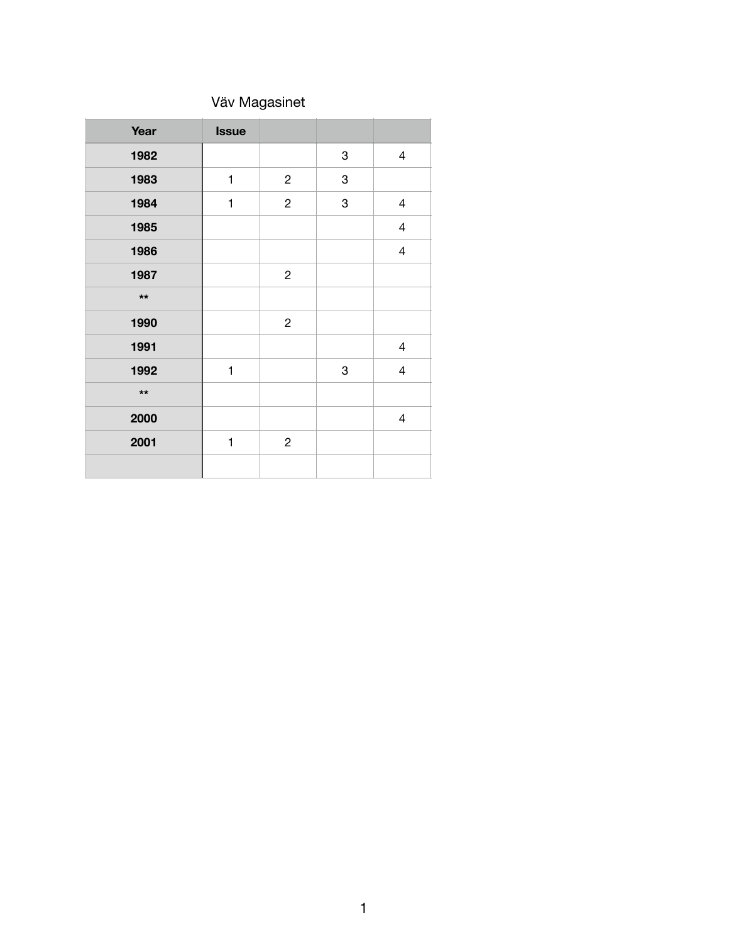## Väv Magasinet

| Year         | <b>Issue</b> |                |   |                          |
|--------------|--------------|----------------|---|--------------------------|
| 1982         |              |                | 3 | $\overline{4}$           |
| 1983         | $\mathbf{1}$ | $\overline{c}$ | 3 |                          |
| 1984         | $\mathbf{1}$ | $\mathbf{2}$   | 3 | $\overline{\mathcal{A}}$ |
| 1985         |              |                |   | $\overline{\mathcal{A}}$ |
| 1986         |              |                |   | $\overline{4}$           |
| 1987         |              | $\overline{c}$ |   |                          |
| $\star\star$ |              |                |   |                          |
| 1990         |              | $\overline{c}$ |   |                          |
| 1991         |              |                |   | $\overline{\mathcal{A}}$ |
| 1992         | $\mathbf{1}$ |                | 3 | $\overline{\mathbf{4}}$  |
| $\star\star$ |              |                |   |                          |
| 2000         |              |                |   | $\overline{\mathcal{A}}$ |
| 2001         | 1            | $\overline{c}$ |   |                          |
|              |              |                |   |                          |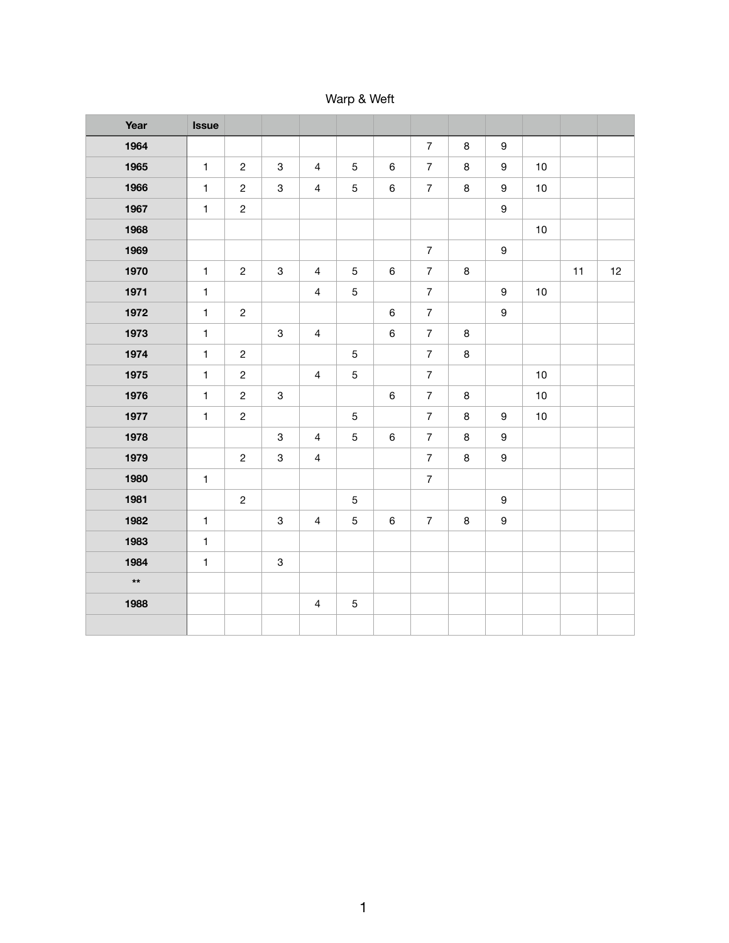Warp & Weft

| Year         | <b>Issue</b> |                |                           |                |                |         |                |         |                  |      |    |    |
|--------------|--------------|----------------|---------------------------|----------------|----------------|---------|----------------|---------|------------------|------|----|----|
| 1964         |              |                |                           |                |                |         | $\overline{7}$ | $\bf 8$ | $\boldsymbol{9}$ |      |    |    |
| 1965         | $\mathbf{1}$ | $\overline{c}$ | $\mathbf{3}$              | $\overline{4}$ | 5              | $\,6\,$ | $\overline{7}$ | $\bf 8$ | $\boldsymbol{9}$ | $10$ |    |    |
| 1966         | $\mathbf{1}$ | $\mathbf{2}$   | $\,3$                     | $\overline{4}$ | $\sqrt{5}$     | $\,6\,$ | $\overline{7}$ | $\bf 8$ | $\boldsymbol{9}$ | 10   |    |    |
| 1967         | $\mathbf{1}$ | $\overline{c}$ |                           |                |                |         |                |         | $\boldsymbol{9}$ |      |    |    |
| 1968         |              |                |                           |                |                |         |                |         |                  | 10   |    |    |
| 1969         |              |                |                           |                |                |         | $\overline{7}$ |         | $\boldsymbol{9}$ |      |    |    |
| 1970         | $\mathbf{1}$ | $\overline{c}$ | $\sqrt{3}$                | $\overline{4}$ | $\sqrt{5}$     | $\,6\,$ | $\overline{7}$ | $\bf 8$ |                  |      | 11 | 12 |
| 1971         | $\mathbf{1}$ |                |                           | $\overline{4}$ | $\overline{5}$ |         | $\overline{7}$ |         | $\boldsymbol{9}$ | 10   |    |    |
| 1972         | $\mathbf{1}$ | $\overline{c}$ |                           |                |                | $\,6\,$ | $\overline{7}$ |         | $\boldsymbol{9}$ |      |    |    |
| 1973         | $\mathbf{1}$ |                | $\mathbf 3$               | $\overline{4}$ |                | $\,6\,$ | $\overline{7}$ | $\bf 8$ |                  |      |    |    |
| 1974         | $\mathbf{1}$ | $\overline{c}$ |                           |                | $\overline{5}$ |         | $\overline{7}$ | $\bf 8$ |                  |      |    |    |
| 1975         | $\mathbf{1}$ | $\overline{c}$ |                           | $\overline{4}$ | $\sqrt{5}$     |         | $\overline{7}$ |         |                  | 10   |    |    |
| 1976         | $\mathbf{1}$ | $\overline{c}$ | $\ensuremath{\mathsf{3}}$ |                |                | $\,6\,$ | $\overline{7}$ | $\bf8$  |                  | $10$ |    |    |
| 1977         | $\mathbf{1}$ | $\overline{c}$ |                           |                | $\overline{5}$ |         | $\overline{7}$ | $\bf8$  | $\boldsymbol{9}$ | $10$ |    |    |
| 1978         |              |                | $\,3$                     | $\overline{4}$ | $\overline{5}$ | $\,6\,$ | $\overline{7}$ | 8       | $\boldsymbol{9}$ |      |    |    |
| 1979         |              | $\overline{2}$ | $\,3$                     | $\overline{4}$ |                |         | $\overline{7}$ | $\bf 8$ | $\boldsymbol{9}$ |      |    |    |
| 1980         | $\mathbf{1}$ |                |                           |                |                |         | $\overline{7}$ |         |                  |      |    |    |
| 1981         |              | $\overline{c}$ |                           |                | $\sqrt{5}$     |         |                |         | $\boldsymbol{9}$ |      |    |    |
| 1982         | $\mathbf{1}$ |                | $\,3$                     | $\overline{4}$ | 5              | $\,6\,$ | $\overline{7}$ | $\,8\,$ | $\boldsymbol{9}$ |      |    |    |
| 1983         | $\mathbf{1}$ |                |                           |                |                |         |                |         |                  |      |    |    |
| 1984         | $\mathbf{1}$ |                | $\,3$                     |                |                |         |                |         |                  |      |    |    |
| $\star\star$ |              |                |                           |                |                |         |                |         |                  |      |    |    |
| 1988         |              |                |                           | $\overline{4}$ | 5              |         |                |         |                  |      |    |    |
|              |              |                |                           |                |                |         |                |         |                  |      |    |    |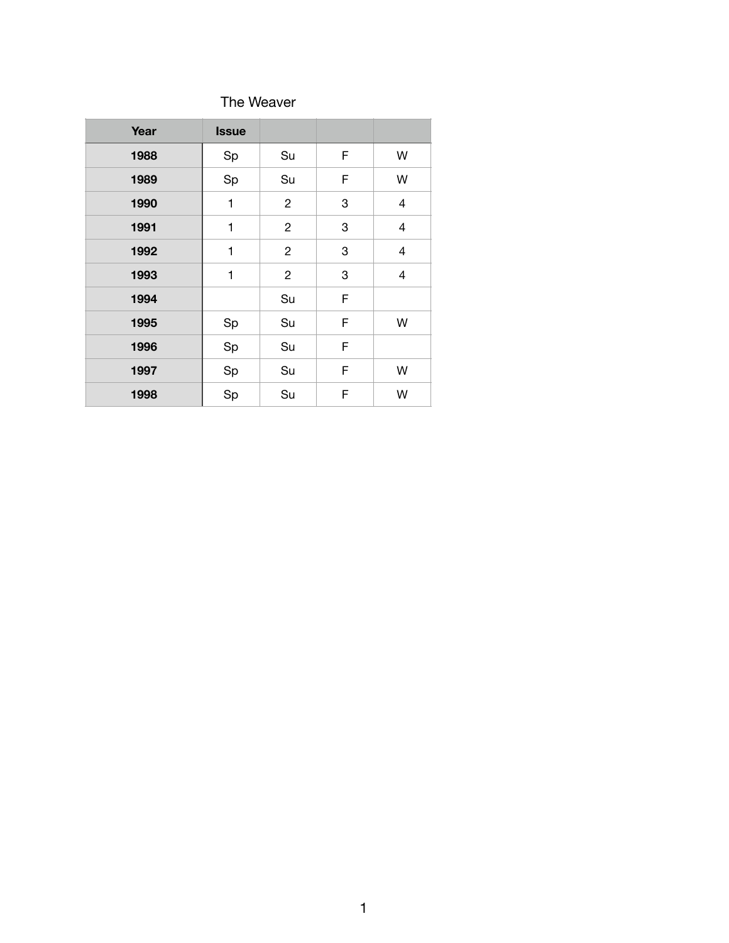### The Weaver

| Year | <b>Issue</b> |                |   |                          |
|------|--------------|----------------|---|--------------------------|
| 1988 | Sp           | Su             | F | W                        |
| 1989 | Sp           | Su             | F | W                        |
| 1990 | 1            | $\overline{c}$ | 3 | $\overline{\mathcal{A}}$ |
| 1991 | 1            | $\overline{c}$ | 3 | 4                        |
| 1992 | 1            | $\overline{c}$ | 3 | 4                        |
| 1993 | 1            | $\overline{c}$ | 3 | 4                        |
| 1994 |              | Su             | F |                          |
| 1995 | Sp           | Su             | F | W                        |
| 1996 | Sp           | Su             | F |                          |
| 1997 | Sp           | Su             | F | W                        |
| 1998 | Sp           | Su             | F | W                        |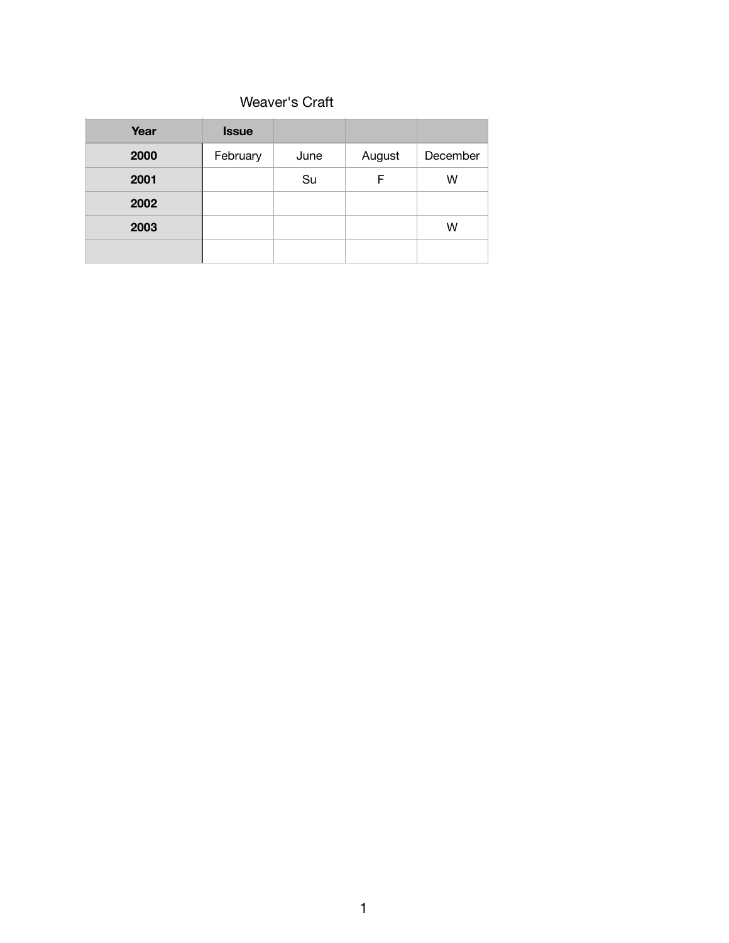### Weaver's Craft

| Year | <b>Issue</b> |      |        |          |
|------|--------------|------|--------|----------|
| 2000 | February     | June | August | December |
| 2001 |              | Su   | F      | W        |
| 2002 |              |      |        |          |
| 2003 |              |      |        | W        |
|      |              |      |        |          |